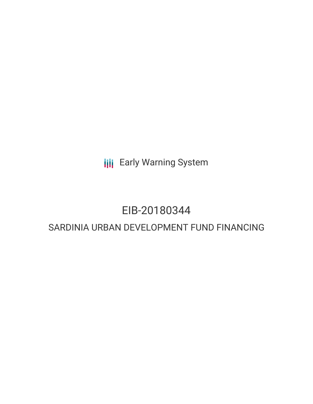**III** Early Warning System

# EIB-20180344

## SARDINIA URBAN DEVELOPMENT FUND FINANCING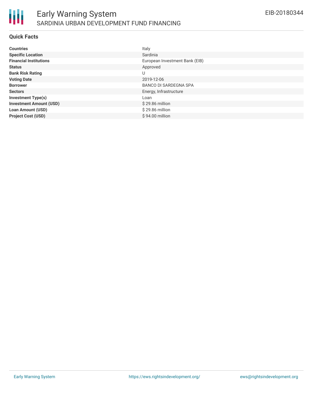

#### **Quick Facts**

| <b>Countries</b>               | Italy                          |
|--------------------------------|--------------------------------|
| <b>Specific Location</b>       | Sardinia                       |
| <b>Financial Institutions</b>  | European Investment Bank (EIB) |
| <b>Status</b>                  | Approved                       |
| <b>Bank Risk Rating</b>        | U                              |
| <b>Voting Date</b>             | 2019-12-06                     |
| <b>Borrower</b>                | <b>BANCO DI SARDEGNA SPA</b>   |
| <b>Sectors</b>                 | Energy, Infrastructure         |
| <b>Investment Type(s)</b>      | Loan                           |
| <b>Investment Amount (USD)</b> | $$29.86$ million               |
| <b>Loan Amount (USD)</b>       | \$29.86 million                |
| <b>Project Cost (USD)</b>      | \$94.00 million                |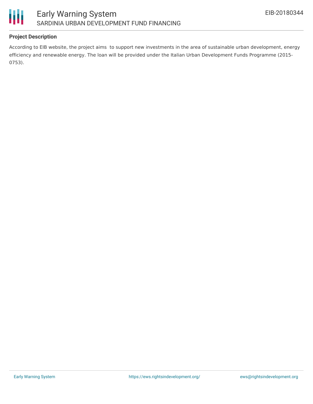



#### **Project Description**

According to EIB website, the project aims to support new investments in the area of sustainable urban development, energy efficiency and renewable energy. The loan will be provided under the Italian Urban Development Funds Programme (2015- 0753).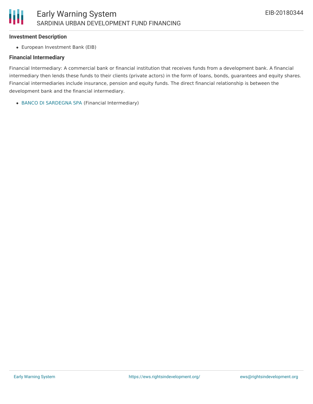#### **Investment Description**

European Investment Bank (EIB)

#### **Financial Intermediary**

Financial Intermediary: A commercial bank or financial institution that receives funds from a development bank. A financial intermediary then lends these funds to their clients (private actors) in the form of loans, bonds, guarantees and equity shares. Financial intermediaries include insurance, pension and equity funds. The direct financial relationship is between the development bank and the financial intermediary.

BANCO DI [SARDEGNA](file:///actor/2653/) SPA (Financial Intermediary)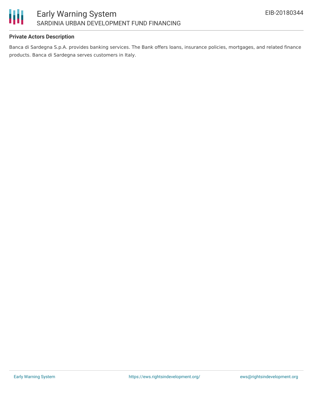

#### **Private Actors Description**

Banca di Sardegna S.p.A. provides banking services. The Bank offers loans, insurance policies, mortgages, and related finance products. Banca di Sardegna serves customers in Italy.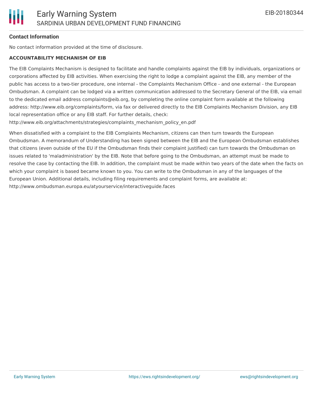#### **Contact Information**

No contact information provided at the time of disclosure.

#### **ACCOUNTABILITY MECHANISM OF EIB**

The EIB Complaints Mechanism is designed to facilitate and handle complaints against the EIB by individuals, organizations or corporations affected by EIB activities. When exercising the right to lodge a complaint against the EIB, any member of the public has access to a two-tier procedure, one internal - the Complaints Mechanism Office - and one external - the European Ombudsman. A complaint can be lodged via a written communication addressed to the Secretary General of the EIB, via email to the dedicated email address complaints@eib.org, by completing the online complaint form available at the following address: http://www.eib.org/complaints/form, via fax or delivered directly to the EIB Complaints Mechanism Division, any EIB local representation office or any EIB staff. For further details, check:

http://www.eib.org/attachments/strategies/complaints\_mechanism\_policy\_en.pdf

When dissatisfied with a complaint to the EIB Complaints Mechanism, citizens can then turn towards the European Ombudsman. A memorandum of Understanding has been signed between the EIB and the European Ombudsman establishes that citizens (even outside of the EU if the Ombudsman finds their complaint justified) can turn towards the Ombudsman on issues related to 'maladministration' by the EIB. Note that before going to the Ombudsman, an attempt must be made to resolve the case by contacting the EIB. In addition, the complaint must be made within two years of the date when the facts on which your complaint is based became known to you. You can write to the Ombudsman in any of the languages of the European Union. Additional details, including filing requirements and complaint forms, are available at: http://www.ombudsman.europa.eu/atyourservice/interactiveguide.faces